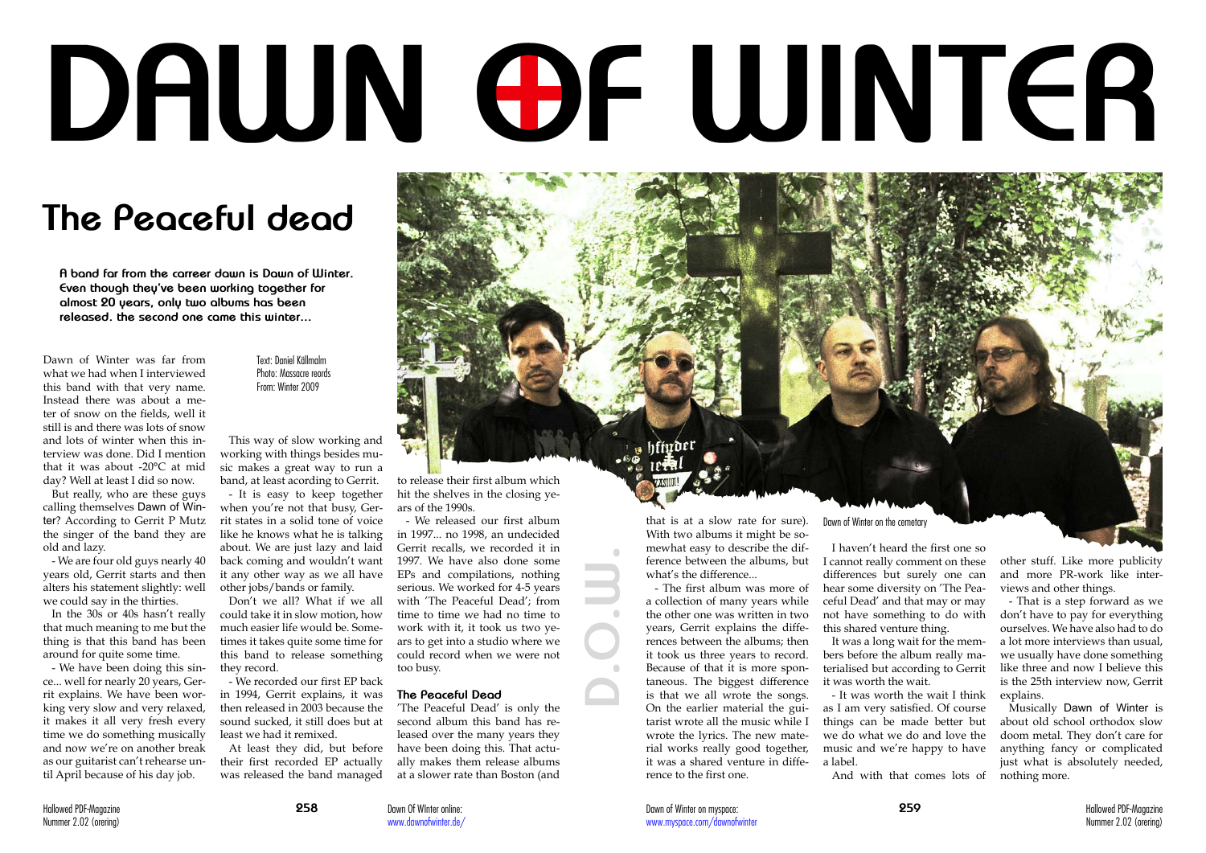Dawn of Winter was far from what we had when I interviewed this band with that very name. Instead there was about a meter of snow on the fields, well it still is and there was lots of snow and lots of winter when this interview was done. Did I mention that it was about -20°C at mid day? Well at least I did so now.

But really, who are these guys calling themselves Dawn of Winter? According to Gerrit P Mutz the singer of the band they are old and lazy.

- We are four old guys nearly 40 years old, Gerrit starts and then alters his statement slightly: well we could say in the thirties.

In the 30s or 40s hasn't really that much meaning to me but the thing is that this band has been around for quite some time.

- We have been doing this since... well for nearly 20 years, Gerrit explains. We have been working very slow and very relaxed, it makes it all very fresh every time we do something musically and now we're on another break as our guitarist can't rehearse until April because of his day job.

# **DAWN OF WINTER**

This way of slow working and working with things besides music makes a great way to run a band, at least acording to Gerrit.

- It is easy to keep together when you're not that busy, Gerrit states in a solid tone of voice like he knows what he is talking about. We are just lazy and laid back coming and wouldn't want it any other way as we all have other jobs/bands or family.

Don't we all? What if we all could take it in slow motion, how much easier life would be. Sometimes it takes quite some time for this band to release something they record.

- We recorded our first EP back in 1994, Gerrit explains, it was then released in 2003 because the sound sucked, it still does but at least we had it remixed.

At least they did, but before their first recorded EP actually was released the band managed

to release their first album which hit the shelves in the closing years of the 1990s.

- We released our first album in 1997... no 1998, an undecided Gerrit recalls, we recorded it in 1997. We have also done some EPs and compilations, nothing serious. We worked for 4-5 years with 'The Peaceful Dead'; from time to time we had no time to work with it, it took us two years to get into a studio where we could record when we were not too busy.

# **The Peaceful Dead**

'The Peaceful Dead' is only the second album this band has released over the many years they have been doing this. That actually makes them release albums at a slower rate than Boston (and

that is at a slow rate for sure). With two albums it might be somewhat easy to describe the difwhat's the difference...

- The first album was more of a collection of many years while the other one was written in two years, Gerrit explains the differences between the albums; then it took us three years to record. Because of that it is more spontaneous. The biggest difference is that we all wrote the songs. On the earlier material the guitarist wrote all the music while I wrote the lyrics. The new material works really good together, it was a shared venture in difference to the first one.

ference between the albums, but I cannot really comment on these I haven't heard the first one so differences but surely one can hear some diversity on 'The Peaceful Dead' and that may or may not have something to do with this shared venture thing.

It was a long wait for the members before the album really materialised but according to Gerrit it was worth the wait.

- It was worth the wait I think as I am very satisfied. Of course things can be made better but we do what we do and love the music and we're happy to have a label.

And with that comes lots of

other stuff. Like more publicity and more PR-work like interviews and other things.

- That is a step forward as we don't have to pay for everything ourselves. We have also had to do a lot more interviews than usual, we usually have done something like three and now I believe this is the 25th interview now, Gerrit explains.

Musically Dawn of Winter is about old school orthodox slow doom metal. They don't care for anything fancy or complicated just what is absolutely needed, nothing more.

**A band far from the carreer dawn is Dawn of Winter. Even though they've been working together for almost 20 years, only two albums has been released. the second one came this winter...**

> Text: Daniel Källmalm Photo: Massacre reords From: Winter 2009

# **The Peaceful dead**

Dawn of Winter on the cemetary

**D.O.W.**

Dawn Of WInter online: www.dawnofwinter.de/